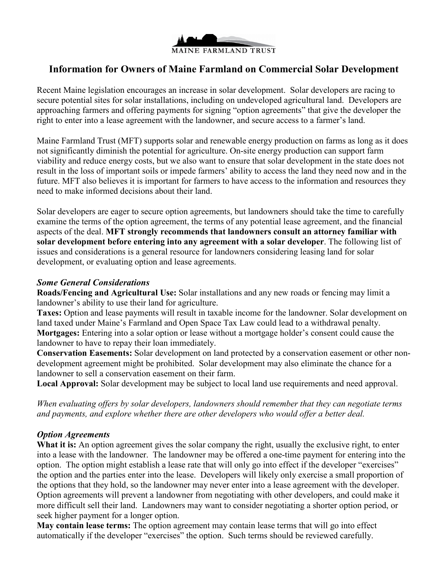

## **Information for Owners of Maine Farmland on Commercial Solar Development**

Recent Maine legislation encourages an increase in solar development. Solar developers are racing to secure potential sites for solar installations, including on undeveloped agricultural land. Developers are approaching farmers and offering payments for signing "option agreements" that give the developer the right to enter into a lease agreement with the landowner, and secure access to a farmer's land.

Maine Farmland Trust (MFT) supports solar and renewable energy production on farms as long as it does not significantly diminish the potential for agriculture. On-site energy production can support farm viability and reduce energy costs, but we also want to ensure that solar development in the state does not result in the loss of important soils or impede farmers' ability to access the land they need now and in the future. MFT also believes it is important for farmers to have access to the information and resources they need to make informed decisions about their land.

Solar developers are eager to secure option agreements, but landowners should take the time to carefully examine the terms of the option agreement, the terms of any potential lease agreement, and the financial aspects of the deal. **MFT strongly recommends that landowners consult an attorney familiar with solar development before entering into any agreement with a solar developer**. The following list of issues and considerations is a general resource for landowners considering leasing land for solar development, or evaluating option and lease agreements.

## *Some General Considerations*

**Roads/Fencing and Agricultural Use:** Solar installations and any new roads or fencing may limit a landowner's ability to use their land for agriculture.

**Taxes:** Option and lease payments will result in taxable income for the landowner. Solar development on land taxed under Maine's Farmland and Open Space Tax Law could lead to a withdrawal penalty. **Mortgages:** Entering into a solar option or lease without a mortgage holder's consent could cause the landowner to have to repay their loan immediately.

**Conservation Easements:** Solar development on land protected by a conservation easement or other nondevelopment agreement might be prohibited. Solar development may also eliminate the chance for a landowner to sell a conservation easement on their farm.

**Local Approval:** Solar development may be subject to local land use requirements and need approval.

*When evaluating offers by solar developers, landowners should remember that they can negotiate terms and payments, and explore whether there are other developers who would offer a better deal.* 

## *Option Agreements*

**What it is:** An option agreement gives the solar company the right, usually the exclusive right, to enter into a lease with the landowner. The landowner may be offered a one-time payment for entering into the option. The option might establish a lease rate that will only go into effect if the developer "exercises" the option and the parties enter into the lease. Developers will likely only exercise a small proportion of the options that they hold, so the landowner may never enter into a lease agreement with the developer. Option agreements will prevent a landowner from negotiating with other developers, and could make it more difficult sell their land. Landowners may want to consider negotiating a shorter option period, or seek higher payment for a longer option.

**May contain lease terms:** The option agreement may contain lease terms that will go into effect automatically if the developer "exercises" the option. Such terms should be reviewed carefully.